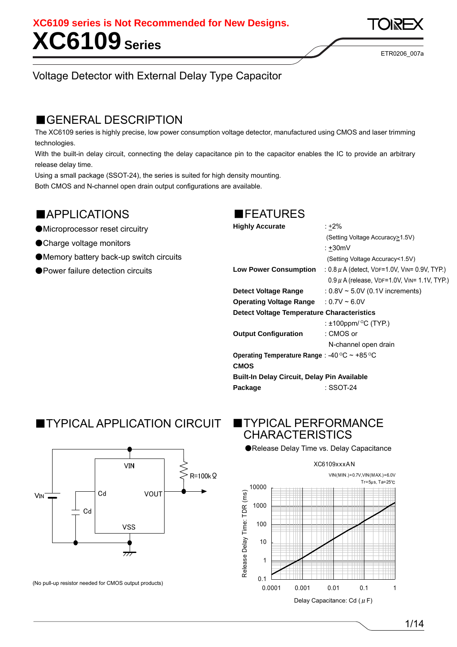**XC6109 Series XC6109 series is Not Recommended for New Designs.** 

ETR0206\_007a

### Voltage Detector with External Delay Type Capacitor

## ■GENERAL DESCRIPTION

The XC6109 series is highly precise, low power consumption voltage detector, manufactured using CMOS and laser trimming technologies.

With the built-in delay circuit, connecting the delay capacitance pin to the capacitor enables the IC to provide an arbitrary release delay time.

Using a small package (SSOT-24), the series is suited for high density mounting.

Both CMOS and N-channel open drain output configurations are available.

## ■APPLICATIONS

### ●Microprocessor reset circuitry

- ●Charge voltage monitors
- ●Memory battery back-up switch circuits
- ●Power failure detection circuits

### ■FEATURES

|  | <b>Highly Accurat</b> |  |
|--|-----------------------|--|

|                                                    | (Setting Voltage Accuracy  notion 1.5V)            |
|----------------------------------------------------|----------------------------------------------------|
|                                                    | $: +30mV$                                          |
|                                                    | (Setting Voltage Accuracy<1.5V)                    |
| <b>Low Power Consumption</b>                       | : $0.8 \mu$ A (detect, VDF=1.0V, VIN= 0.9V, TYP.)  |
|                                                    | $0.9 \,\mu$ A (release, VDF=1.0V, VIN= 1.1V, TYP.) |
| Detect Voltage Range                               | : $0.8V \sim 5.0V$ (0.1V increments)               |
| <b>Operating Voltage Range</b>                     | $: 0.7V \sim 6.0V$                                 |
| <b>Detect Voltage Temperature Characteristics</b>  |                                                    |
|                                                    | : $\pm$ 100ppm/ $\mathrm{^{\circ}C}$ (TYP.)        |
| <b>Output Configuration</b>                        | : CMOS or                                          |
|                                                    | N-channel open drain                               |
| Operating Temperature Range: -40 °C ~ +85 °C       |                                                    |
| <b>CMOS</b>                                        |                                                    |
| <b>Built-In Delay Circuit, Delay Pin Available</b> |                                                    |
| Package                                            | : SSOT-24                                          |

 $\cdot +2\%$ 

## ■TYPICAL APPLICATION CIRCUIT



(No pull-up resistor needed for CMOS output products)

## ■TYPICAL PERFORMANCE **CHARACTERISTICS**

●Release Delay Time vs. Delay Capacitance

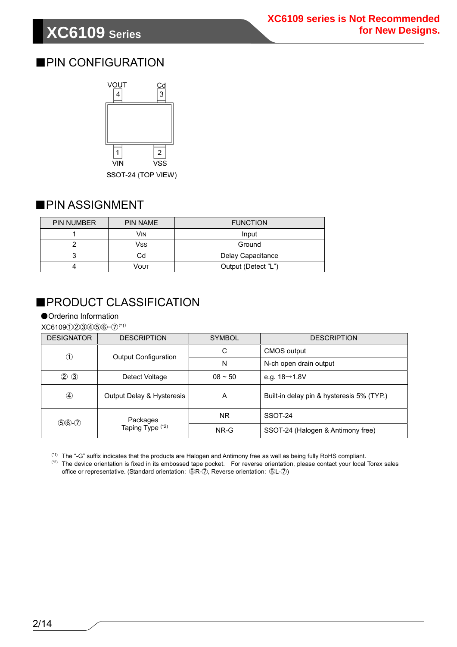## ■PIN CONFIGURATION



## ■ PIN ASSIGNMENT

| <b>PIN NUMBER</b> | <b>PIN NAME</b> | <b>FUNCTION</b>     |
|-------------------|-----------------|---------------------|
|                   | VIN             | Input               |
|                   | Vss             | Ground              |
|                   | Cd              | Delay Capacitance   |
|                   | Vout            | Output (Detect "L") |

## ■PRODUCT CLASSIFICATION

●Ordering Information

XC6109①②③④⑤⑥-⑦(\*1)

| <b>DESIGNATOR</b> | <b>DESCRIPTION</b>                      | <b>SYMBOL</b> | <b>DESCRIPTION</b>                        |
|-------------------|-----------------------------------------|---------------|-------------------------------------------|
| $\circled{1}$     | <b>Output Configuration</b>             | С             | CMOS output                               |
|                   |                                         | N             | N-ch open drain output                    |
| $\circled{2}$     | Detect Voltage                          | $08 - 50$     | e.g. $18→1.8V$                            |
|                   | Output Delay & Hysteresis               | A             | Built-in delay pin & hysteresis 5% (TYP.) |
| $$6-2$            | Packages<br>Taping Type <sup>(*2)</sup> | NR.           | SSOT-24                                   |
|                   |                                         | NR-G          | SSOT-24 (Halogen & Antimony free)         |

(\*1) The "-G" suffix indicates that the products are Halogen and Antimony free as well as being fully RoHS compliant.

(\*2) The device orientation is fixed in its embossed tape pocket. For reverse orientation, please contact your local Torex sales office or representative. (Standard orientation: ⑤R-⑦, Reverse orientation: ⑤L-⑦)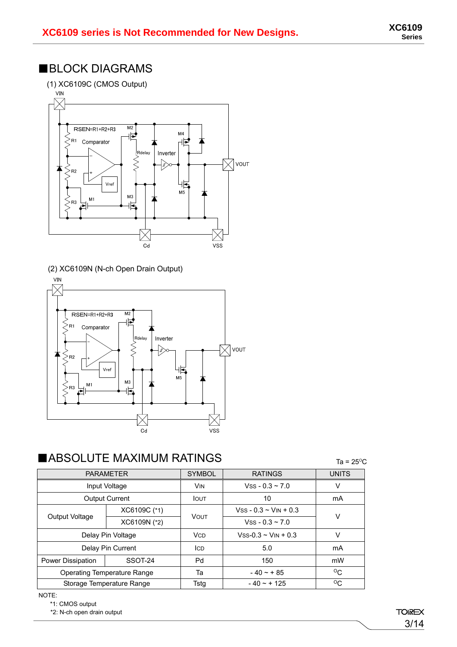## ■BLOCK DIAGRAMS



(2) XC6109N (N-ch Open Drain Output)



## $\blacksquare \textsf{ABSOLUTE MAXIMUM RATINGS} \qquad \begin{array}{lll} \multicolumn{3}{l}{{\color{blue}\textbf{A} \textbf{B} \textbf{S} \textbf{O} \textbf{L} \textbf{U} \textbf{T} \textbf{E}} \qquad \textbf{A} \textbf{B} \textbf{S} \textbf{A} \textbf{A} \textbf{A} \textbf{A} \textbf{A} \textbf{A} \textbf{A} \textbf{A} \textbf{A} \textbf{A} \textbf{A} \textbf{A} \textbf{A} \textbf{A} \textbf{A} \textbf{A} \textbf{A} \textbf{A} \text$

| <b>PARAMETER</b>            |                           | <b>SYMBOL</b> | <b>RATINGS</b>              | <b>UNITS</b> |  |
|-----------------------------|---------------------------|---------------|-----------------------------|--------------|--|
| Input Voltage               |                           | <b>VIN</b>    | $VSS - 0.3 \approx 7.0$     | V            |  |
|                             | <b>Output Current</b>     | <b>I</b> OUT  | 10                          | mA           |  |
|                             | XC6109C (*1)              | <b>VOUT</b>   | $Vss - 0.3 - VIN + 0.3$     | V            |  |
| Output Voltage              | XC6109N (*2)              |               | $Vss - 0.3 - 7.0$           |              |  |
| Delay Pin Voltage           |                           | <b>VCD</b>    | $Vss-0.3 \sim V_{IN} + 0.3$ | $\vee$       |  |
| Delay Pin Current           |                           | ICD.          | 5.0                         | mA           |  |
| <b>Power Dissipation</b>    | SSOT-24                   | Pd            | 150                         | mW           |  |
| Operating Temperature Range |                           | Та            | $-40 - + 85$                | $^{\circ}$ C |  |
|                             | Storage Temperature Range | Tsta          | $-40 - + 125$               | $^{\circ}$ C |  |

NOTE:

\*1: CMOS output

\*2: N-ch open drain output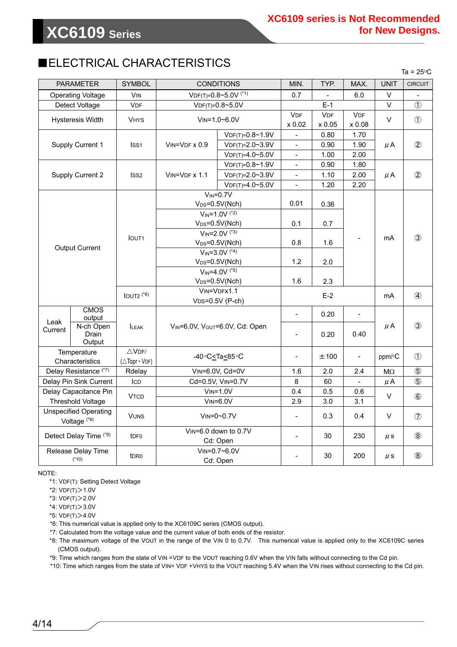## ■ELECTRICAL CHARACTERISTICS

 $Ta = 25^{\circ}C$ 

| <b>PARAMETER</b>             |                    | <b>SYMBOL</b>            |                                   | <b>CONDITIONS</b>               | MIN.                     | TYP.       | MAX.           | <b>UNIT</b>   | <b>CIRCUIT</b> |
|------------------------------|--------------------|--------------------------|-----------------------------------|---------------------------------|--------------------------|------------|----------------|---------------|----------------|
| <b>Operating Voltage</b>     |                    | <b>V<sub>IN</sub></b>    | $VDF(T)=0.8-5.0V$ <sup>(*1)</sup> |                                 | 0.7                      |            | 6.0            | V             |                |
| Detect Voltage               |                    | <b>VDF</b>               |                                   | $VDF(T)=0.8-5.0V$               |                          | $E-1$      |                | $\vee$        | $\circled{1}$  |
| <b>Hysteresis Width</b>      |                    | <b>VHYS</b>              |                                   | $V$ IN=1.0~6.0V                 | <b>VDF</b>               | <b>VDF</b> | <b>VDF</b>     | V             | $\circled{1}$  |
|                              |                    |                          |                                   |                                 | x 0.02                   | x 0.05     | x 0.08         |               |                |
|                              |                    |                          |                                   | $VDF(T)=0.8~1.9V$               | $\blacksquare$           | 0.80       | 1.70           |               |                |
| Supply Current 1             |                    | ISS <sub>1</sub>         | $V$ IN= $V$ DF $\times$ 0.9       | $VDF(T)=2.0-3.9V$               | $\blacksquare$           | 0.90       | 1.90           | $\mu$ A       | $\circled{2}$  |
|                              |                    |                          |                                   | $VDF(T)=4.0-5.0V$               | $\blacksquare$           | 1.00       | 2.00           |               |                |
|                              |                    |                          |                                   | $VDF(T)=0.8~1.9V$               | $\overline{\phantom{a}}$ | 0.90       | 1.80           |               |                |
| <b>Supply Current 2</b>      |                    | ISS <sub>2</sub>         | $VIN=VDF \times 1.1$              | $VDF(T)=2.0-3.9V$               | $\blacksquare$           | 1.10       | 2.00           | μA            | $\circled{2}$  |
|                              |                    |                          |                                   | $VDF(T)=4.0-5.0V$               |                          | 1.20       | 2.20           |               |                |
|                              |                    |                          |                                   | $V_{IN} = 0.7V$                 |                          |            |                |               |                |
|                              |                    |                          |                                   | $V_{DS}=0.5V(Nch)$              | 0.01                     | 0.36       |                |               |                |
|                              |                    |                          |                                   | $V_{IN} = 1.0V$ <sup>(*2)</sup> |                          |            |                |               |                |
|                              |                    |                          |                                   | $V_{DS}=0.5V(Nch)$              | 0.1                      | 0.7        |                |               |                |
|                              |                    |                          |                                   | $V_{IN} = 2.0V$ <sup>(*3)</sup> |                          |            |                |               |                |
|                              |                    | <b>IOUT1</b>             | $V_{DS}=0.5V(Nch)$                |                                 | 0.8                      | 1.6        | mA             |               | $\circled{3}$  |
| <b>Output Current</b>        |                    |                          | $V_{IN} = 3.0V$ <sup>(*4)</sup>   |                                 |                          |            |                |               |                |
|                              |                    |                          | $V_{DS}=0.5V(Nch)$                |                                 | 1.2                      | 2.0        |                |               |                |
|                              |                    |                          | $V_{IN} = 4.0V$ <sup>(*5)</sup>   |                                 |                          |            |                |               |                |
|                              |                    |                          | $V_{DS} = 0.5V(Nch)$              |                                 | 1.6                      | 2.3        |                |               |                |
|                              |                    | $IOUT2$ $(5)$            | VIN=VDFx1.1<br>$VDS=0.5V(P-ch)$   |                                 | $E-2$                    |            |                | mA            |                |
|                              |                    |                          |                                   |                                 |                          |            |                |               | $\circled{4}$  |
|                              | <b>CMOS</b>        |                          |                                   |                                 | $\overline{\phantom{a}}$ | 0.20       |                |               |                |
| Leak                         | output             |                          |                                   |                                 |                          |            |                |               |                |
| Current                      | N-ch Open<br>Drain | <b>ILEAK</b>             |                                   | VIN=6.0V, VOUT=6.0V, Cd: Open   | $\frac{1}{2}$            | 0.20       | 0.40           | μA            | $\circled{3}$  |
|                              | Output             |                          |                                   |                                 |                          |            |                |               |                |
| Temperature                  |                    | $\triangle$ VDF/         |                                   |                                 |                          |            |                |               |                |
| Characteristics              |                    | $(\triangle$ Topr · VDF) |                                   |                                 | $\overline{\phantom{a}}$ | ±100       | $\blacksquare$ | $ppm$ / $C$   | $\circled{1}$  |
| Delay Resistance (*7)        |                    | Rdelay                   |                                   | VIN=6.0V, Cd=0V                 | 1.6                      | 2.0        | 2.4            | $\sf M\Omega$ | $\circledS$    |
| Delay Pin Sink Current       |                    | ICD                      | Cd=0.5V, VIN=0.7V                 |                                 | 8                        | 60         |                | $\mu$ A       | $\circledS$    |
| Delay Capacitance Pin        |                    |                          | $V$ <sub>IN</sub> = $1.0V$        |                                 | 0.4                      | 0.5        | 0.6            |               |                |
| <b>Threshold Voltage</b>     |                    | <b>VTCD</b>              | $V$ IN=6.0V                       |                                 | 2.9                      | 3.0        | 3.1            | V             | $\circledast$  |
| <b>Unspecified Operating</b> |                    |                          |                                   |                                 |                          |            |                |               |                |
| Voltage <sup>(*8)</sup>      |                    | <b>VUNS</b>              | $V$ IN=0~0.7 $V$                  |                                 | $\blacksquare$           | 0.3        | 0.4            | V             | $\circledcirc$ |
|                              |                    |                          |                                   | VIN=6.0 down to 0.7V            |                          |            |                |               |                |
| Detect Delay Time (*9)       |                    | t <sub>DF0</sub>         | Cd: Open                          |                                 |                          | 30         | 230            | $\mu$ s       | $\circledR$    |
| Release Delay Time           |                    |                          |                                   | VIN=0.7~6.0V                    |                          |            |                |               |                |
| $(*10)$                      |                    | t <sub>DR0</sub>         |                                   | Cd: Open                        |                          | 30         | 200            | $\mu$ s       | $\circledS$    |

NOTE:

\*1: VDF(T): Setting Detect Voltage

\*2: VDF(T)>1.0V

\*3: VDF(T)>2.0V

\*4: VDF(T)>3.0V

\*5: VDF(T)>4.0V

\*6: This numerical value is applied only to the XC6109C series (CMOS output).

\*7: Calculated from the voltage value and the current value of both ends of the resistor.

\*8: The maximum voltage of the VOUT in the range of the VIN 0 to 0.7V. This numerical value is applied only to the XC6109C series (CMOS output).

\*9: Time which ranges from the state of VIN =VDF to the VOUT reaching 0.6V when the VIN falls without connecting to the Cd pin.

\*10: Time which ranges from the state of VIN= VDF +VHYS to the VOUT reaching 5.4V when the VIN rises without connecting to the Cd pin.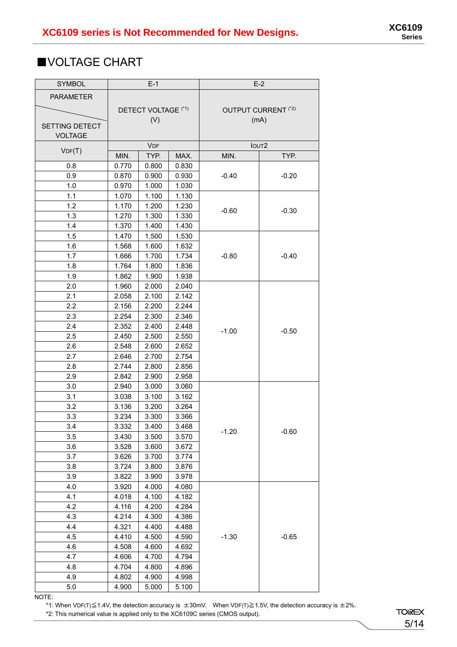## ■VOLTAGE CHART

Г

| <b>SYMBOL</b>    | $E-1$               |            | $E-2$ |         |                                |
|------------------|---------------------|------------|-------|---------|--------------------------------|
| <b>PARAMETER</b> |                     |            |       |         |                                |
|                  | DETECT VOLTAGE (*1) |            |       |         | OUTPUT CURRENT <sup>(*2)</sup> |
|                  | (V)                 |            |       | (mA)    |                                |
| SETTING DETECT   |                     |            |       |         |                                |
| <b>VOLTAGE</b>   |                     |            |       |         |                                |
| VDF(T)           |                     | <b>VDF</b> |       |         | IOUT <sub>2</sub>              |
|                  | MIN.                | TYP.       | MAX.  | MIN.    | TYP.                           |
| 0.8              | 0.770               | 0.800      | 0.830 |         |                                |
| 0.9              | 0.870               | 0.900      | 0.930 | $-0.40$ | $-0.20$                        |
| 1.0              | 0.970               | 1.000      | 1.030 |         |                                |
| 1.1              | 1.070               | 1.100      | 1.130 |         |                                |
| 1.2              | 1.170               | 1.200      | 1.230 | $-0.60$ | $-0.30$                        |
| 1.3              | 1.270               | 1.300      | 1.330 |         |                                |
| 1.4              | 1.370               | 1.400      | 1.430 |         |                                |
| 1.5              | 1.470               | 1.500      | 1.530 |         |                                |
| 1.6              | 1.568               | 1.600      | 1.632 |         |                                |
| 1.7              | 1.666               | 1.700      | 1.734 | $-0.80$ | $-0.40$                        |
| 1.8              | 1.764               | 1.800      | 1.836 |         |                                |
| 1.9              | 1.862               | 1.900      | 1.938 |         |                                |
| 2.0              | 1.960               | 2.000      | 2.040 |         |                                |
| 2.1              | 2.058               | 2.100      | 2.142 |         |                                |
| 2.2              | 2.156               | 2.200      | 2.244 |         |                                |
| 2.3              | 2.254               | 2.300      | 2.346 | $-1.00$ |                                |
| 2.4              | 2.352               | 2.400      | 2.448 |         | $-0.50$                        |
| 2.5              | 2.450               | 2.500      | 2.550 |         |                                |
| 2.6              | 2.548               | 2.600      | 2.652 |         |                                |
| 2.7              | 2.646               | 2.700      | 2.754 |         |                                |
| 2.8              | 2.744               | 2.800      | 2.856 |         |                                |
| 2.9              | 2.842               | 2.900      | 2.958 |         |                                |
| 3.0              | 2.940               | 3.000      | 3.060 |         |                                |
| 3.1              | 3.038               | 3.100      | 3.162 |         |                                |
| 3.2              | 3.136               | 3.200      | 3.264 |         |                                |
| 3.3              | 3.234               | 3.300      | 3.366 |         |                                |
| 3.4              | 3.332               | 3.400      | 3.468 | $-1.20$ | $-0.60$                        |
| 3.5              | 3.430               | 3.500      | 3.570 |         |                                |
| 3.6              | 3.528               | 3.600      | 3.672 |         |                                |
| 3.7              | 3.626               | 3.700      | 3.774 |         |                                |
| 3.8              | 3.724               | 3.800      | 3.876 |         |                                |
| 3.9              | 3.822               | 3.900      | 3.978 |         |                                |
| 4.0              | 3.920               | 4.000      | 4.080 |         |                                |
| 4.1              | 4.018               | 4.100      | 4.182 |         |                                |
| 4.2              | 4.116               | 4.200      | 4.284 |         |                                |
| 4.3              | 4.214               | 4.300      | 4.386 |         |                                |
| 4.4              | 4.321               | 4.400      | 4.488 |         |                                |
| 4.5              | 4.410               | 4.500      | 4.590 | $-1.30$ | $-0.65$                        |
| 4.6              | 4.508               | 4.600      | 4.692 |         |                                |
| 4.7              | 4.606               | 4.700      | 4.794 |         |                                |
| 4.8              | 4.704               | 4.800      | 4.896 |         |                                |
| 4.9              | 4.802               | 4.900      | 4.998 |         |                                |
| 5.0              | 4.900               | 5.000      | 5.100 |         |                                |

NOTE:

\*1: When VDF(T)≦1.4V, the detection accuracy is ±30mV. When VDF(T)≧1.5V, the detection accuracy is ±2%.

\*2: This numerical value is applied only to the XC6109C series (CMOS output).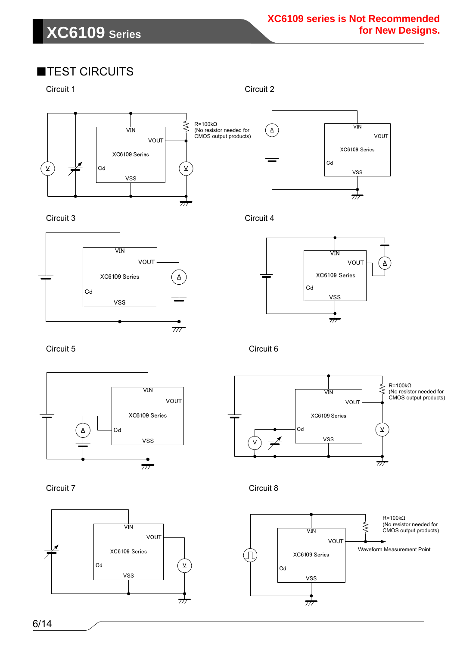## ■TEST CIRCUITS

Circuit 1 Circuit 2

≷ R=100kΩ (No resistor needed for  $\overline{\text{V}}\overline{\text{N}}$ CMOS output products) VOUT XC6109 Series  $Cd$  $\underline{\mathsf{v}}$ V vss  $\overline{\tau}$ 



Circuit 3 Circuit 4





Circuit 5 Circuit 6







Circuit 7 Circuit 8

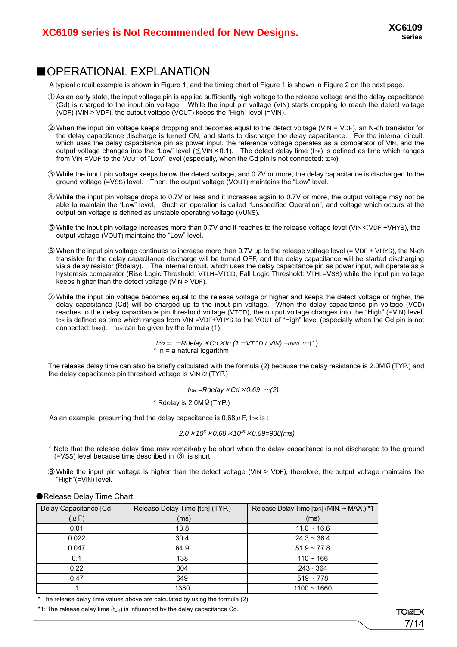### ■OPERATIONAL EXPLANATION

A typical circuit example is shown in Figure 1, and the timing chart of Figure 1 is shown in Figure 2 on the next page.

- ① As an early state, the input voltage pin is applied sufficiently high voltage to the release voltage and the delay capacitance (Cd) is charged to the input pin voltage. While the input pin voltage (VIN) starts dropping to reach the detect voltage (VDF) (VIN > VDF), the output voltage (VOUT) keeps the "High" level  $\overline{(-V)}$  (=VIN).
- ② When the input pin voltage keeps dropping and becomes equal to the detect voltage (VIN = VDF), an N-ch transistor for the delay capacitance discharge is turned ON, and starts to discharge the delay capacitance. For the internal circuit, which uses the delay capacitance pin as power input, the reference voltage operates as a comparator of VIN, and the output voltage changes into the "Low" level ( $\leq$ VIN×0.1). The detect delay time (tor) is defined as time which ranges from VIN = VDF to the VOUT of "Low" level (especially, when the Cd pin is not connected: tDF0).
- ③ While the input pin voltage keeps below the detect voltage, and 0.7V or more, the delay capacitance is discharged to the ground voltage (=VSS) level. Then, the output voltage (VOUT) maintains the "Low" level.
- ④ While the input pin voltage drops to 0.7V or less and it increases again to 0.7V or more, the output voltage may not be able to maintain the "Low" level. Such an operation is called "Unspecified Operation", and voltage which occurs at the output pin voltage is defined as unstable operating voltage (VUNS).
- ⑤ While the input pin voltage increases more than 0.7V and it reaches to the release voltage level (VIN<VDF +VHYS), the output voltage (VOUT) maintains the "Low" level.
- ⑥ When the input pin voltage continues to increase more than 0.7V up to the release voltage level (= VDF + VHYS), the N-ch transistor for the delay capacitance discharge will be turned OFF, and the delay capacitance will be started discharging via a delay resistor (Rdelay). The internal circuit, which uses the delay capacitance pin as power input, will operate as a hysteresis comparator (Rise Logic Threshold: VTLH=VTCD, Fall Logic Threshold: VTHL=VSS) while the input pin voltage keeps higher than the detect voltage (VIN > VDF).
- ⑦ While the input pin voltage becomes equal to the release voltage or higher and keeps the detect voltage or higher, the delay capacitance (Cd) will be charged up to the input pin voltage. When the delay capacitance pin voltage (VCD) reaches to the delay capacitance pin threshold voltage (VTCD), the output voltage changes into the "High" (=VIN) level. tor is defined as time which ranges from VIN =VDF+VHYS to the VOUT of "High" level (especially when the Cd pin is not connected:  $t_{DR0}$ ). t<sub>DR</sub> can be given by the formula (1).

 $t_{DR} = -R$ delay  $\times$  *Cd*  $\times$  *In* (1 - VTCD / VIN) +  $t_{DR0}$  …(1) \* In = a natural logarithm

The release delay time can also be briefly calculated with the formula (2) because the delay resistance is 2.0MΩ(TYP.) and the delay capacitance pin threshold voltage is VIN /2 (TYP.)

*tDR =Rdelay*×*Cd*×*0.69* …*(2)* 

\* Rdelay is 2.0MΩ(TYP.)

As an example, presuming that the delay capacitance is  $0.68 \mu$  F, ton is :

*2.0*×*106*×*0.68*×*10-6*×*0.69=938(ms)* 

- \* Note that the release delay time may remarkably be short when the delay capacitance is not discharged to the ground (=VSS) level because time described in ③ is short.
- ⑧ While the input pin voltage is higher than the detect voltage (VIN > VDF), therefore, the output voltage maintains the "High"(=VIN) level.

| Delay Capacitance [Cd] | Release Delay Time [tDR] (TYP.) | Release Delay Time [tDR] (MIN. ~ MAX.) *1 |
|------------------------|---------------------------------|-------------------------------------------|
| $(\mu$ F)              | (ms)                            | (ms)                                      |
| 0.01                   | 13.8                            | $11.0 - 16.6$                             |
| 0.022                  | 30.4                            | $24.3 \sim 36.4$                          |
| 0.047                  | 64.9                            | $51.9 \sim 77.8$                          |
| 0.1                    | 138                             | $110 - 166$                               |
| 0.22                   | 304                             | $243 - 364$                               |
| 0.47                   | 649                             | $519 - 778$                               |
|                        | 1380                            | $1100 - 1660$                             |

●Release Delay Time Chart

\* The release delay time values above are calculated by using the formula (2).

\*1: The release delay time  $(t_{DR})$  is influenced by the delay capacitance Cd.

**TOREX** 7/14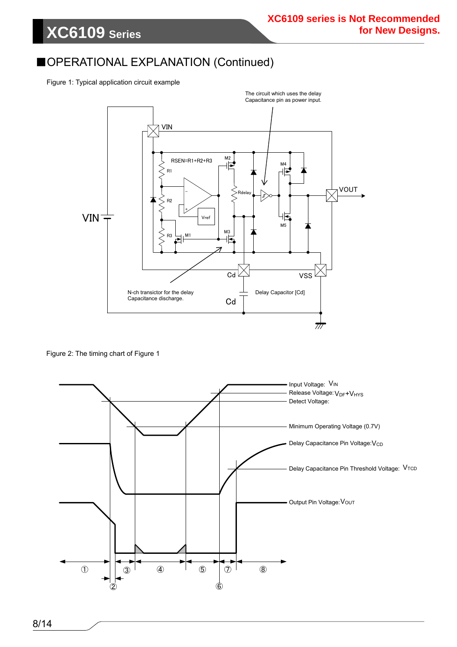## ■OPERATIONAL EXPLANATION (Continued)

Figure 1: Typical application circuit example

**XC6109 Series**



Figure 2: The timing chart of Figure 1

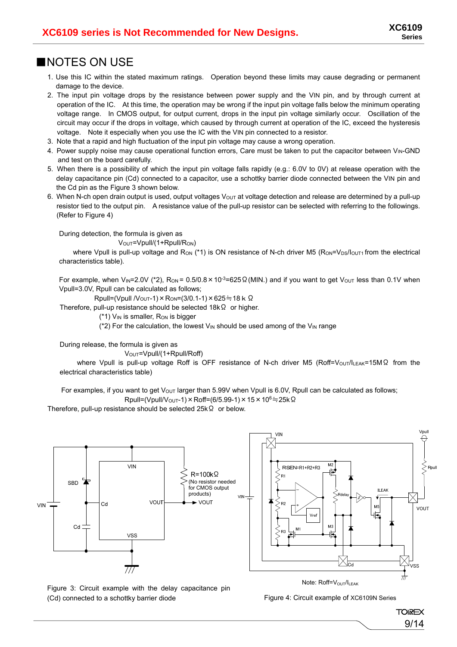### ■NOTES ON USE

- 1. Use this IC within the stated maximum ratings. Operation beyond these limits may cause degrading or permanent damage to the device.
- 2. The input pin voltage drops by the resistance between power supply and the VIN pin, and by through current at operation of the IC. At this time, the operation may be wrong if the input pin voltage falls below the minimum operating voltage range. In CMOS output, for output current, drops in the input pin voltage similarly occur. Oscillation of the circuit may occur if the drops in voltage, which caused by through current at operation of the IC, exceed the hysteresis voltage. Note it especially when you use the IC with the VIN pin connected to a resistor.
- 3. Note that a rapid and high fluctuation of the input pin voltage may cause a wrong operation.
- 4. Power supply noise may cause operational function errors, Care must be taken to put the capacitor between V<sub>IN</sub>-GND and test on the board carefully.
- 5. When there is a possibility of which the input pin voltage falls rapidly (e.g.: 6.0V to 0V) at release operation with the delay capacitance pin (Cd) connected to a capacitor, use a schottky barrier diode connected between the VIN pin and the Cd pin as the Figure 3 shown below.
- 6. When N-ch open drain output is used, output voltages Vout at voltage detection and release are determined by a pull-up resistor tied to the output pin. A resistance value of the pull-up resistor can be selected with referring to the followings. (Refer to Figure 4)

During detection, the formula is given as

V<sub>OUT</sub>=Vpull/(1+Rpull/R<sub>ON</sub>)

where Vpull is pull-up voltage and R<sub>ON</sub> (\*1) is ON resistance of N-ch driver M5 (R<sub>ON</sub>=V<sub>DS</sub>/l<sub>OUT1</sub> from the electrical characteristics table).

For example, when V<sub>IN</sub>=2.0V (\*2), R<sub>ON</sub> = 0.5/0.8 × 10<sup>-3</sup>=625  $\Omega$  (MIN.) and if you want to get V<sub>OUT</sub> less than 0.1V when Vpull=3.0V, Rpull can be calculated as follows;

Rpull=(Vpull /V<sub>OUT</sub>-1) × R<sub>ON</sub>=(3/0.1-1) × 625≒18 k Ω

Therefore, pull-up resistance should be selected 18kΩ or higher.

 $(*1)$  V<sub>IN</sub> is smaller, R<sub>ON</sub> is bigger

(\*2) For the calculation, the lowest  $V_{IN}$  should be used among of the  $V_{IN}$  range

During release, the formula is given as

V<sub>OUT</sub>=Vpull/(1+Rpull/Roff)

where Vpull is pull-up voltage Roff is OFF resistance of N-ch driver M5 (Roff=Vouτ/ILEAK=15MΩ from the electrical characteristics table)

For examples, if you want to get  $V_{\text{OUT}}$  larger than 5.99V when Vpull is 6.0V, Rpull can be calculated as follows;  $Rpull=(Vpull/V<sub>OUT</sub>-1) × Roff=(6/5.99-1) × 15 × 10<sup>6</sup> ÷ 25kΩ$ 

Therefore, pull-up resistance should be selected 25kΩ or below.



Figure 3: Circuit example with the delay capacitance pin (Cd) connected to a schottky barrier diode

Figure 4: Circuit example of XC6109N Series

**TOIREX** 9/14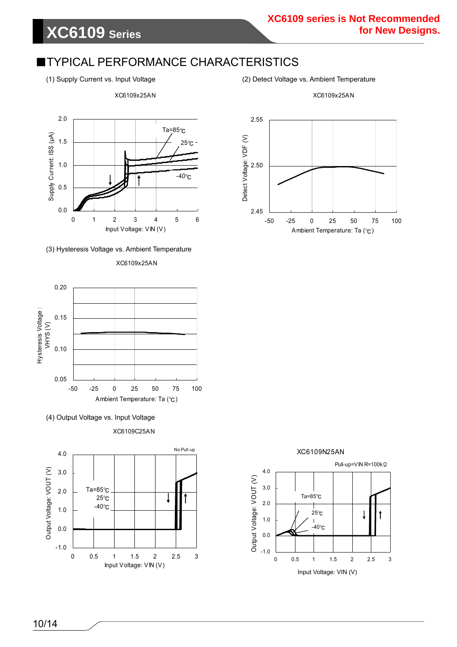### **XC6109 series is Not Recommended for New Designs.**

## **TYPICAL PERFORMANCE CHARACTERISTICS**

(1) Supply Current vs. Input Voltage (2) Detect Voltage vs. Ambient Temperature

XC6109x25AN

2.0 Ta=85℃ Supply Current: ISS (µA) Supply Current: ISS (μA) 1.5 25℃ 1.0 -40℃ 0.5 0.0 0123456 Input Voltage: VIN (V)

XC6109x25AN



#### XC6109x25AN





XC6109C25AN







### 10/14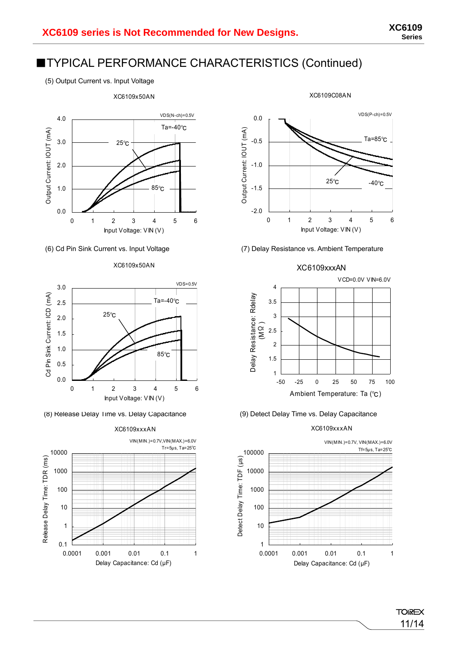## ■TYPICAL PERFORMANCE CHARACTERISTICS (Continued)

(5) Output Current vs. Input Voltage



#### XC6109x50AN



(8) Release Delay Time vs. Delay Capacitance (9) Detect Delay Time vs. Delay Capacitance





XC6109C08AN

### (6) Cd Pin Sink Current vs. Input Voltage (7) Delay Resistance vs. Ambient Temperature







#### XC6109xxxAN

**TOIREX** 11/14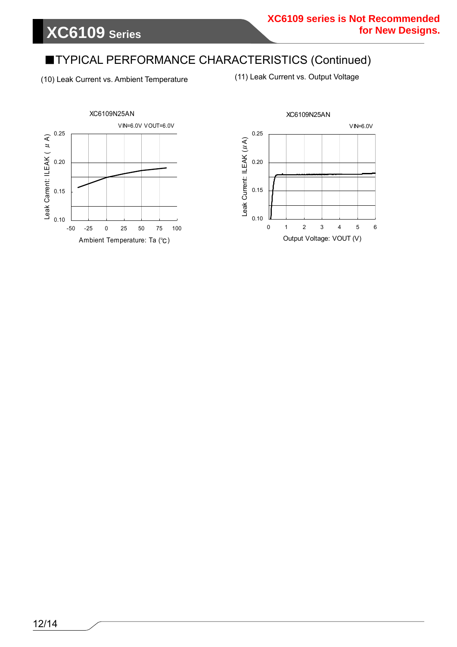## ■TYPICAL PERFORMANCE CHARACTERISTICS (Continued)

(10) Leak Current vs. Ambient Temperature

(11) Leak Current vs. Output Voltage



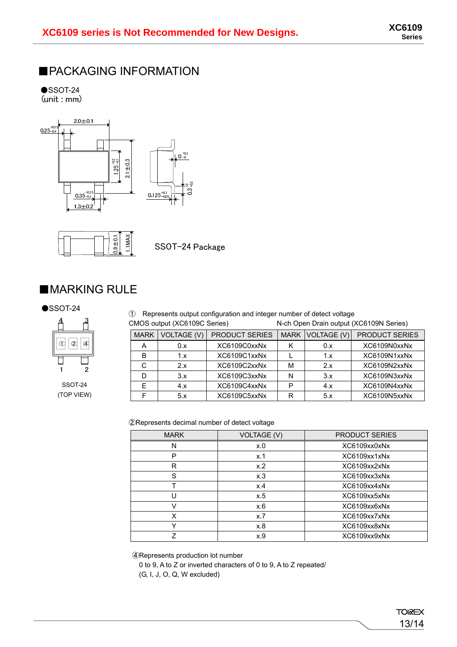## ■PACKAGING INFORMATION

 $\bullet$ SSOT-24<br>(unit : mm)





SSOT-24 Package

## ■MARKING RULE



SSOT-24 (TOP VIEW)

| $\bullet$ SSOT-24 | 1) Represents output configuration and integer number of detect voltage |                              |                                         |
|-------------------|-------------------------------------------------------------------------|------------------------------|-----------------------------------------|
|                   |                                                                         | CMOS output (XC6109C Series) | N-ch Open Drain output (XC6109N Series) |

| <b>MARK</b>  | <b>VOLTAGE (V)</b> | <b>PRODUCT SERIES</b> |   | MARK   VOLTAGE (V) | <b>PRODUCT SERIES</b> |
|--------------|--------------------|-----------------------|---|--------------------|-----------------------|
| $\mathsf{H}$ | 0.x                | XC6109C0xxNx          |   | 0.x                | XC6109N0xxNx          |
| в            | 1.x                | XC6109C1xxNx          |   | 1.x                | XC6109N1xxNx          |
|              | 2.x                | XC6109C2xxNx          | М | 2.x                | XC6109N2xxNx          |
|              | 3.x                | XC6109C3xxNx          | N | 3.x                | XC6109N3xxNx          |
|              | 4.x                | XC6109C4xxNx          | P | 4.x                | XC6109N4xxNx          |
|              | 5.x                | XC6109C5xxNx          | R | 5.x                | XC6109N5xxNx          |

#### ②Represents decimal number of detect voltage

| <b>MARK</b> | <b>VOLTAGE (V)</b> | <b>PRODUCT SERIES</b> |
|-------------|--------------------|-----------------------|
| N           | x.0                | XC6109xx0xNx          |
| P           | x.1                | XC6109xx1xNx          |
| R           | x.2                | XC6109xx2xNx          |
| S           | x.3                | XC6109xx3xNx          |
|             | x.4                | XC6109xx4xNx          |
| Н           | x.5                | XC6109xx5xNx          |
| V           | x.6                | XC6109xx6xNx          |
| x           | x.7                | XC6109xx7xNx          |
|             | x.8                | XC6109xx8xNx          |
| 7           | x.9                | XC6109xx9xNx          |

④Represents production lot number

 0 to 9, A to Z or inverted characters of 0 to 9, A to Z repeated/ (G, I, J, O, Q, W excluded)